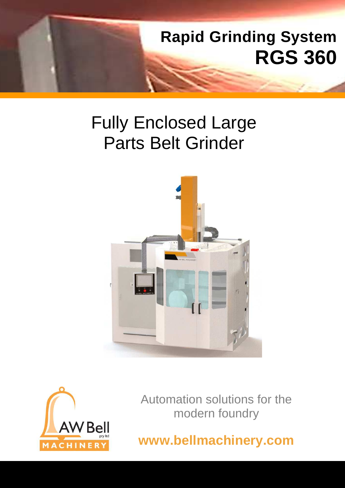

# Fully Enclosed Large Parts Belt Grinder





Automation solutions for the modern foundry

**www.bellmachinery.com**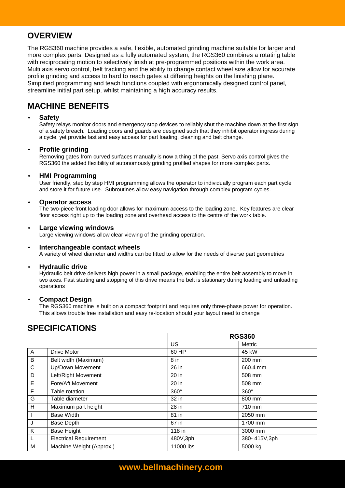## **OVERVIEW**

The RGS360 machine provides a safe, flexible, automated grinding machine suitable for larger and more complex parts. Designed as a fully automated system, the RGS360 combines a rotating table with reciprocating motion to selectively linish at pre-programmed positions within the work area. Multi axis servo control, belt tracking and the ability to change contact wheel size allow for accurate profile grinding and access to hard to reach gates at differing heights on the linishing plane. Simplified programming and teach functions coupled with ergonomically designed control panel, streamline initial part setup, whilst maintaining a high accuracy results.

# **MACHINE BENEFITS**

#### • **Safety**

Safety relays monitor doors and emergency stop devices to reliably shut the machine down at the first sign of a safety breach. Loading doors and guards are designed such that they inhibit operator ingress during a cycle, yet provide fast and easy access for part loading, cleaning and belt change.

#### • **Profile grinding**

Removing gates from curved surfaces manually is now a thing of the past. Servo axis control gives the RGS360 the added flexibility of autonomously grinding profiled shapes for more complex parts.

#### • **HMI Programming**

User friendly, step by step HMI programming allows the operator to individually program each part cycle and store it for future use. Subroutines allow easy navigation through complex program cycles.

#### • **Operator access**

The two-piece front loading door allows for maximum access to the loading zone. Key features are clear floor access right up to the loading zone and overhead access to the centre of the work table.

#### • **Large viewing windows**

Large viewing windows allow clear viewing of the grinding operation.

#### • **Interchangeable contact wheels**

A variety of wheel diameter and widths can be fitted to allow for the needs of diverse part geometries

#### • **Hydraulic drive**

Hydraulic belt drive delivers high power in a small package, enabling the entire belt assembly to move in two axes. Fast starting and stopping of this drive means the belt is stationary during loading and unloading operations

#### • **Compact Design**

 The RGS360 machine is built on a compact footprint and requires only three-phase power for operation. This allows trouble free installation and easy re-location should your layout need to change

## **SPECIFICATIONS**

|              |                               | <b>RGS360</b> |              |
|--------------|-------------------------------|---------------|--------------|
|              |                               | US            | Metric       |
| $\mathsf{A}$ | Drive Motor                   | 60 HP         | 45 kW        |
| B            | Belt width (Maximum)          | 8 in          | 200 mm       |
| $\mathsf{C}$ | Up/Down Movement              | 26 in         | 660.4 mm     |
| D            | Left/Right Movement           | 20 in         | 508 mm       |
| Е            | Fore/Aft Movement             | 20 in         | 508 mm       |
| F            | Table rotation                | $360^\circ$   | $360^\circ$  |
| G            | Table diameter                | 32 in         | 800 mm       |
| H            | Maximum part height           | 28 in         | 710 mm       |
| $\mathbf{I}$ | <b>Base Width</b>             | 81 in         | 2050 mm      |
| J            | <b>Base Depth</b>             | 67 in         | 1700 mm      |
| K            | <b>Base Height</b>            | 118 in        | 3000 mm      |
| L            | <b>Electrical Requirement</b> | 480V,3ph      | 380-415V,3ph |
| M            | Machine Weight (Approx.)      | 11000 lbs     | 5000 kg      |

# **www.bellmachinery.com**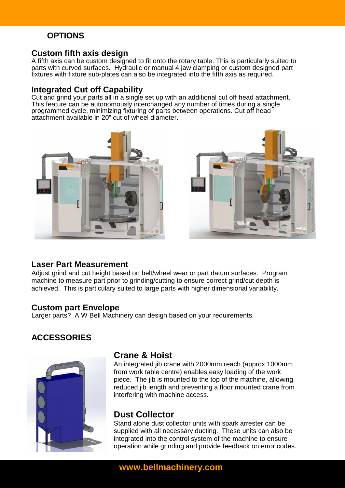# **OPTIONS**

## **Custom fifth axis design**

A fifth axis can be custom designed to fit onto the rotary table. This is particularly suited to parts with curved surfaces. Hydraulic or manual 4 jaw clamping or custom designed part fixtures with fixture sub-plates can also be integrated into the fifth axis as required.

## **Integrated Cut off Capability**

Cut and grind your parts all in a single set up with an additional cut off head attachment. This feature can be autonomously interchanged any number of times during a single programmed cycle, minimizing fixturing of parts between operations. Cut off head attachment available in 20" cut of wheel diameter.





## **Laser Part Measurement**

Adjust grind and cut height based on belt/wheel wear or part datum surfaces. Program machine to measure part prior to grinding/cutting to ensure correct grind/cut depth is achieved. This is particulary suited to large parts with higher dimensional variability.

#### **Custom part Envelope**

Larger parts? A W Bell Machinery can design based on your requirements.

## **ACCESSORIES**



## **Crane & Hoist**

An integrated jib crane with 2000mm reach (approx 1000mm from work table centre) enables easy loading of the work piece. The jib is mounted to the top of the machine, allowing reduced jib length and preventing a floor mounted crane from interfering with machine access.

## **Dust Collector**

Stand alone dust collector units with spark arrester can be supplied with all necessary ducting. These units can also be integrated into the control system of the machine to ensure operation while grinding and provide feedback on error codes.